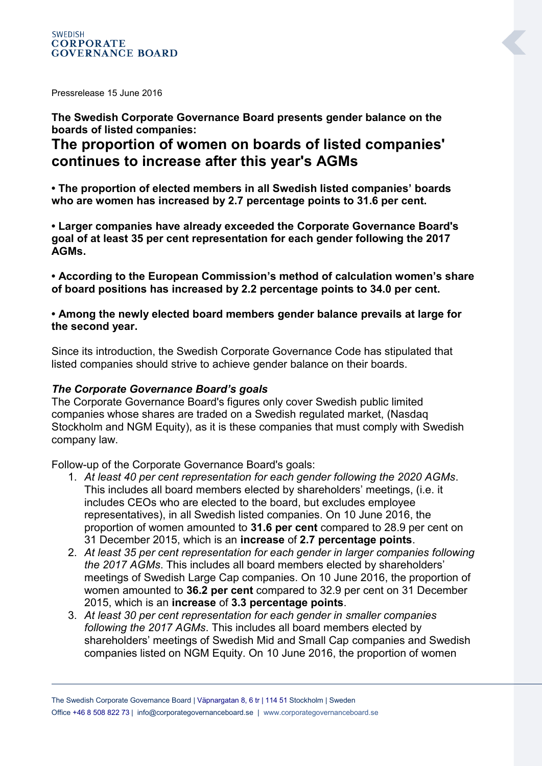Pressrelease 15 June 2016

#### **The Swedish Corporate Governance Board presents gender balance on the boards of listed companies:**

# **The proportion of women on boards of listed companies' continues to increase after this year's AGMs**

**• The proportion of elected members in all Swedish listed companies' boards who are women has increased by 2.7 percentage points to 31.6 per cent.**

**• Larger companies have already exceeded the Corporate Governance Board's goal of at least 35 per cent representation for each gender following the 2017 AGMs.**

**• According to the European Commission's method of calculation women's share of board positions has increased by 2.2 percentage points to 34.0 per cent.**

**• Among the newly elected board members gender balance prevails at large for the second year.**

Since its introduction, the Swedish Corporate Governance Code has stipulated that listed companies should strive to achieve gender balance on their boards.

#### *The Corporate Governance Board's goals*

The Corporate Governance Board's figures only cover Swedish public limited companies whose shares are traded on a Swedish regulated market, (Nasdaq Stockholm and NGM Equity), as it is these companies that must comply with Swedish company law.

Follow-up of the Corporate Governance Board's goals:

- 1. *At least 40 per cent representation for each gender following the 2020 AGMs*. This includes all board members elected by shareholders' meetings, (i.e. it includes CEOs who are elected to the board, but excludes employee representatives), in all Swedish listed companies. On 10 June 2016, the proportion of women amounted to **31.6 per cent** compared to 28.9 per cent on 31 December 2015, which is an **increase** of **2.7 percentage points**.
- 2. *At least 35 per cent representation for each gender in larger companies following the 2017 AGMs*. This includes all board members elected by shareholders' meetings of Swedish Large Cap companies. On 10 June 2016, the proportion of women amounted to **36.2 per cent** compared to 32.9 per cent on 31 December 2015, which is an **increase** of **3.3 percentage points**.
- 3. *At least 30 per cent representation for each gender in smaller companies following the 2017 AGMs*. This includes all board members elected by shareholders' meetings of Swedish Mid and Small Cap companies and Swedish companies listed on NGM Equity. On 10 June 2016, the proportion of women